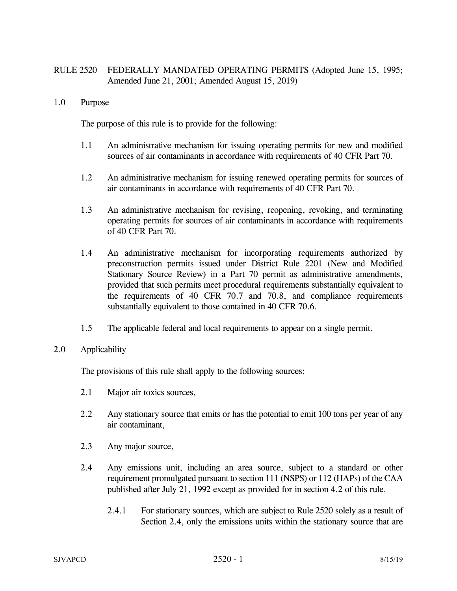# RULE 2520 FEDERALLY MANDATED OPERATING PERMITS (Adopted June 15, 1995; Amended June 21, 2001; Amended August 15, 2019)

1.0 Purpose

The purpose of this rule is to provide for the following:

- 1.1 An administrative mechanism for issuing operating permits for new and modified sources of air contaminants in accordance with requirements of 40 CFR Part 70.
- 1.2 An administrative mechanism for issuing renewed operating permits for sources of air contaminants in accordance with requirements of 40 CFR Part 70.
- 1.3 An administrative mechanism for revising, reopening, revoking, and terminating operating permits for sources of air contaminants in accordance with requirements of 40 CFR Part 70.
- 1.4 An administrative mechanism for incorporating requirements authorized by preconstruction permits issued under District Rule 2201 (New and Modified Stationary Source Review) in a Part 70 permit as administrative amendments, provided that such permits meet procedural requirements substantially equivalent to the requirements of 40 CFR 70.7 and 70.8, and compliance requirements substantially equivalent to those contained in 40 CFR 70.6.
- 1.5 The applicable federal and local requirements to appear on a single permit.
- 2.0 Applicability

The provisions of this rule shall apply to the following sources:

- 2.1 Major air toxics sources,
- 2.2 Any stationary source that emits or has the potential to emit 100 tons per year of any air contaminant,
- 2.3 Any major source,
- 2.4 Any emissions unit, including an area source, subject to a standard or other requirement promulgated pursuant to section 111 (NSPS) or 112 (HAPs) of the CAA published after July 21, 1992 except as provided for in section 4.2 of this rule.
	- 2.4.1 For stationary sources, which are subject to Rule 2520 solely as a result of Section 2.4, only the emissions units within the stationary source that are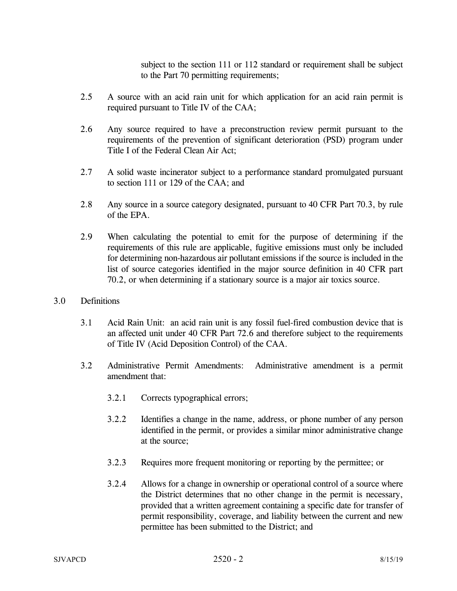subject to the section 111 or 112 standard or requirement shall be subject to the Part 70 permitting requirements;

- 2.5 A source with an acid rain unit for which application for an acid rain permit is required pursuant to Title IV of the CAA;
- 2.6 Any source required to have a preconstruction review permit pursuant to the requirements of the prevention of significant deterioration (PSD) program under Title I of the Federal Clean Air Act;
- 2.7 A solid waste incinerator subject to a performance standard promulgated pursuant to section 111 or 129 of the CAA; and
- 2.8 Any source in a source category designated, pursuant to 40 CFR Part 70.3, by rule of the EPA.
- 2.9 When calculating the potential to emit for the purpose of determining if the requirements of this rule are applicable, fugitive emissions must only be included for determining non-hazardous air pollutant emissions if the source is included in the list of source categories identified in the major source definition in 40 CFR part 70.2, or when determining if a stationary source is a major air toxics source.
- 3.0 Definitions
	- 3.1 Acid Rain Unit: an acid rain unit is any fossil fuel-fired combustion device that is an affected unit under 40 CFR Part 72.6 and therefore subject to the requirements of Title IV (Acid Deposition Control) of the CAA.
	- 3.2 Administrative Permit Amendments: Administrative amendment is a permit amendment that:
		- 3.2.1 Corrects typographical errors;
		- 3.2.2 Identifies a change in the name, address, or phone number of any person identified in the permit, or provides a similar minor administrative change at the source;
		- 3.2.3 Requires more frequent monitoring or reporting by the permittee; or
		- 3.2.4 Allows for a change in ownership or operational control of a source where the District determines that no other change in the permit is necessary, provided that a written agreement containing a specific date for transfer of permit responsibility, coverage, and liability between the current and new permittee has been submitted to the District; and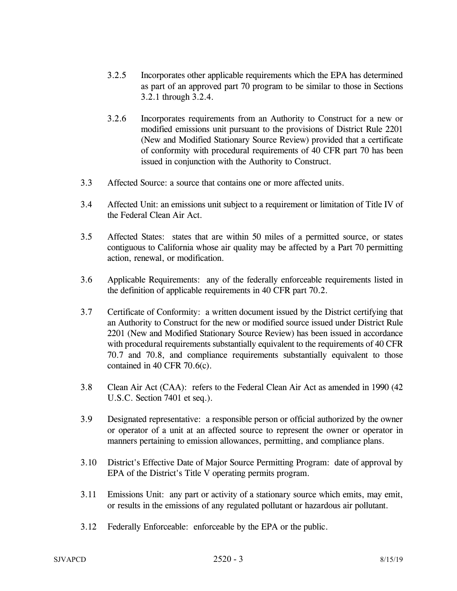- 3.2.5 Incorporates other applicable requirements which the EPA has determined as part of an approved part 70 program to be similar to those in Sections 3.2.1 through 3.2.4.
- 3.2.6 Incorporates requirements from an Authority to Construct for a new or modified emissions unit pursuant to the provisions of District Rule 2201 (New and Modified Stationary Source Review) provided that a certificate of conformity with procedural requirements of 40 CFR part 70 has been issued in conjunction with the Authority to Construct.
- 3.3 Affected Source: a source that contains one or more affected units.
- 3.4 Affected Unit: an emissions unit subject to a requirement or limitation of Title IV of the Federal Clean Air Act.
- 3.5 Affected States: states that are within 50 miles of a permitted source, or states contiguous to California whose air quality may be affected by a Part 70 permitting action, renewal, or modification.
- 3.6 Applicable Requirements: any of the federally enforceable requirements listed in the definition of applicable requirements in 40 CFR part 70.2.
- 3.7 Certificate of Conformity: a written document issued by the District certifying that an Authority to Construct for the new or modified source issued under District Rule 2201 (New and Modified Stationary Source Review) has been issued in accordance with procedural requirements substantially equivalent to the requirements of 40 CFR 70.7 and 70.8, and compliance requirements substantially equivalent to those contained in 40 CFR 70.6(c).
- 3.8 Clean Air Act (CAA): refers to the Federal Clean Air Act as amended in 1990 (42 U.S.C. Section 7401 et seq.).
- 3.9 Designated representative: a responsible person or official authorized by the owner or operator of a unit at an affected source to represent the owner or operator in manners pertaining to emission allowances, permitting, and compliance plans.
- 3.10 District's Effective Date of Major Source Permitting Program: date of approval by EPA of the District's Title V operating permits program.
- 3.11 Emissions Unit: any part or activity of a stationary source which emits, may emit, or results in the emissions of any regulated pollutant or hazardous air pollutant.
- 3.12 Federally Enforceable: enforceable by the EPA or the public.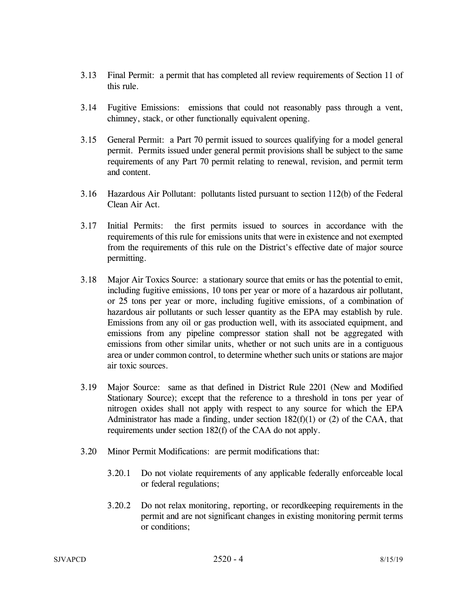- 3.13 Final Permit: a permit that has completed all review requirements of Section 11 of this rule.
- 3.14 Fugitive Emissions: emissions that could not reasonably pass through a vent, chimney, stack, or other functionally equivalent opening.
- 3.15 General Permit: a Part 70 permit issued to sources qualifying for a model general permit. Permits issued under general permit provisions shall be subject to the same requirements of any Part 70 permit relating to renewal, revision, and permit term and content.
- 3.16 Hazardous Air Pollutant: pollutants listed pursuant to section 112(b) of the Federal Clean Air Act.
- 3.17 Initial Permits: the first permits issued to sources in accordance with the requirements of this rule for emissions units that were in existence and not exempted from the requirements of this rule on the District's effective date of major source permitting.
- 3.18 Major Air Toxics Source: a stationary source that emits or has the potential to emit, including fugitive emissions, 10 tons per year or more of a hazardous air pollutant, or 25 tons per year or more, including fugitive emissions, of a combination of hazardous air pollutants or such lesser quantity as the EPA may establish by rule. Emissions from any oil or gas production well, with its associated equipment, and emissions from any pipeline compressor station shall not be aggregated with emissions from other similar units, whether or not such units are in a contiguous area or under common control, to determine whether such units or stations are major air toxic sources.
- 3.19 Major Source: same as that defined in District Rule 2201 (New and Modified Stationary Source); except that the reference to a threshold in tons per year of nitrogen oxides shall not apply with respect to any source for which the EPA Administrator has made a finding, under section  $182(f)(1)$  or (2) of the CAA, that requirements under section 182(f) of the CAA do not apply.
- 3.20 Minor Permit Modifications: are permit modifications that:
	- 3.20.1 Do not violate requirements of any applicable federally enforceable local or federal regulations;
	- 3.20.2 Do not relax monitoring, reporting, or recordkeeping requirements in the permit and are not significant changes in existing monitoring permit terms or conditions;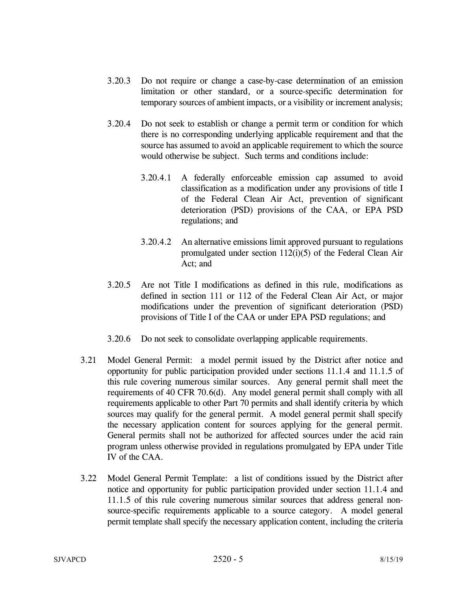- 3.20.3 Do not require or change a case-by-case determination of an emission limitation or other standard, or a source-specific determination for temporary sources of ambient impacts, or a visibility or increment analysis;
- 3.20.4 Do not seek to establish or change a permit term or condition for which there is no corresponding underlying applicable requirement and that the source has assumed to avoid an applicable requirement to which the source would otherwise be subject. Such terms and conditions include:
	- 3.20.4.1 A federally enforceable emission cap assumed to avoid classification as a modification under any provisions of title I of the Federal Clean Air Act, prevention of significant deterioration (PSD) provisions of the CAA, or EPA PSD regulations; and
	- 3.20.4.2 An alternative emissions limit approved pursuant to regulations promulgated under section 112(i)(5) of the Federal Clean Air Act; and
- 3.20.5 Are not Title I modifications as defined in this rule, modifications as defined in section 111 or 112 of the Federal Clean Air Act, or major modifications under the prevention of significant deterioration (PSD) provisions of Title I of the CAA or under EPA PSD regulations; and
- 3.20.6 Do not seek to consolidate overlapping applicable requirements.
- 3.21 Model General Permit: a model permit issued by the District after notice and opportunity for public participation provided under sections 11.1.4 and 11.1.5 of this rule covering numerous similar sources. Any general permit shall meet the requirements of 40 CFR 70.6(d). Any model general permit shall comply with all requirements applicable to other Part 70 permits and shall identify criteria by which sources may qualify for the general permit. A model general permit shall specify the necessary application content for sources applying for the general permit. General permits shall not be authorized for affected sources under the acid rain program unless otherwise provided in regulations promulgated by EPA under Title IV of the CAA.
- 3.22 Model General Permit Template: a list of conditions issued by the District after notice and opportunity for public participation provided under section 11.1.4 and 11.1.5 of this rule covering numerous similar sources that address general nonsource-specific requirements applicable to a source category. A model general permit template shall specify the necessary application content, including the criteria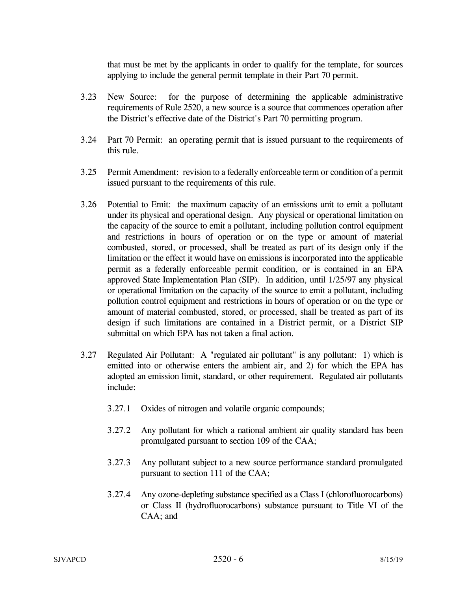that must be met by the applicants in order to qualify for the template, for sources applying to include the general permit template in their Part 70 permit.

- 3.23 New Source: for the purpose of determining the applicable administrative requirements of Rule 2520, a new source is a source that commences operation after the District's effective date of the District's Part 70 permitting program.
- 3.24 Part 70 Permit: an operating permit that is issued pursuant to the requirements of this rule.
- 3.25 Permit Amendment: revision to a federally enforceable term or condition of a permit issued pursuant to the requirements of this rule.
- 3.26 Potential to Emit: the maximum capacity of an emissions unit to emit a pollutant under its physical and operational design. Any physical or operational limitation on the capacity of the source to emit a pollutant, including pollution control equipment and restrictions in hours of operation or on the type or amount of material combusted, stored, or processed, shall be treated as part of its design only if the limitation or the effect it would have on emissions is incorporated into the applicable permit as a federally enforceable permit condition, or is contained in an EPA approved State Implementation Plan (SIP). In addition, until 1/25/97 any physical or operational limitation on the capacity of the source to emit a pollutant, including pollution control equipment and restrictions in hours of operation or on the type or amount of material combusted, stored, or processed, shall be treated as part of its design if such limitations are contained in a District permit, or a District SIP submittal on which EPA has not taken a final action.
- 3.27 Regulated Air Pollutant: A "regulated air pollutant" is any pollutant: 1) which is emitted into or otherwise enters the ambient air, and 2) for which the EPA has adopted an emission limit, standard, or other requirement. Regulated air pollutants include:
	- 3.27.1 Oxides of nitrogen and volatile organic compounds;
	- 3.27.2 Any pollutant for which a national ambient air quality standard has been promulgated pursuant to section 109 of the CAA;
	- 3.27.3 Any pollutant subject to a new source performance standard promulgated pursuant to section 111 of the CAA;
	- 3.27.4 Any ozone-depleting substance specified as a Class I (chlorofluorocarbons) or Class II (hydrofluorocarbons) substance pursuant to Title VI of the CAA; and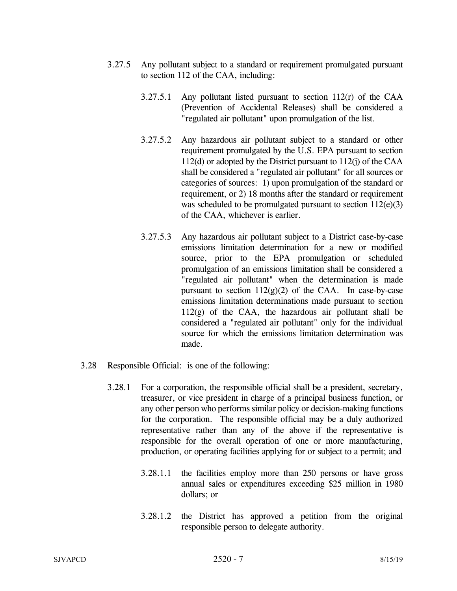- 3.27.5 Any pollutant subject to a standard or requirement promulgated pursuant to section 112 of the CAA, including:
	- 3.27.5.1 Any pollutant listed pursuant to section 112(r) of the CAA (Prevention of Accidental Releases) shall be considered a "regulated air pollutant" upon promulgation of the list.
	- 3.27.5.2 Any hazardous air pollutant subject to a standard or other requirement promulgated by the U.S. EPA pursuant to section 112(d) or adopted by the District pursuant to 112(j) of the CAA shall be considered a "regulated air pollutant" for all sources or categories of sources: 1) upon promulgation of the standard or requirement, or 2) 18 months after the standard or requirement was scheduled to be promulgated pursuant to section  $112(e)(3)$ of the CAA, whichever is earlier.
	- 3.27.5.3 Any hazardous air pollutant subject to a District case-by-case emissions limitation determination for a new or modified source, prior to the EPA promulgation or scheduled promulgation of an emissions limitation shall be considered a "regulated air pollutant" when the determination is made pursuant to section  $112(g)(2)$  of the CAA. In case-by-case emissions limitation determinations made pursuant to section 112(g) of the CAA, the hazardous air pollutant shall be considered a "regulated air pollutant" only for the individual source for which the emissions limitation determination was made.
- 3.28 Responsible Official: is one of the following:
	- 3.28.1 For a corporation, the responsible official shall be a president, secretary, treasurer, or vice president in charge of a principal business function, or any other person who performs similar policy or decision-making functions for the corporation. The responsible official may be a duly authorized representative rather than any of the above if the representative is responsible for the overall operation of one or more manufacturing, production, or operating facilities applying for or subject to a permit; and
		- 3.28.1.1 the facilities employ more than 250 persons or have gross annual sales or expenditures exceeding \$25 million in 1980 dollars; or
		- 3.28.1.2 the District has approved a petition from the original responsible person to delegate authority.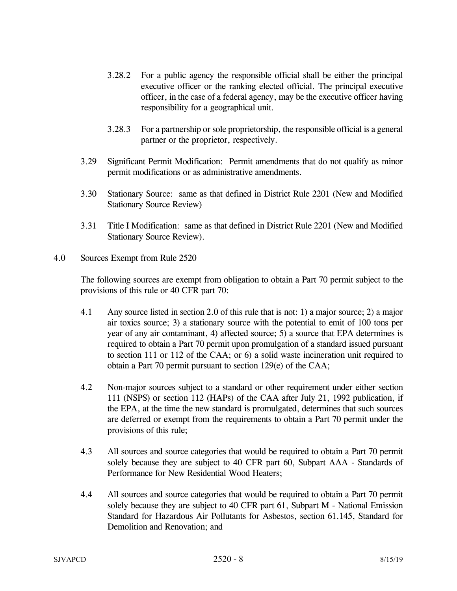- 3.28.2 For a public agency the responsible official shall be either the principal executive officer or the ranking elected official. The principal executive officer, in the case of a federal agency, may be the executive officer having responsibility for a geographical unit.
- 3.28.3 For a partnership or sole proprietorship, the responsible official is a general partner or the proprietor, respectively.
- 3.29 Significant Permit Modification: Permit amendments that do not qualify as minor permit modifications or as administrative amendments.
- 3.30 Stationary Source: same as that defined in District Rule 2201 (New and Modified Stationary Source Review)
- 3.31 Title I Modification: same as that defined in District Rule 2201 (New and Modified Stationary Source Review).
- 4.0 Sources Exempt from Rule 2520

 The following sources are exempt from obligation to obtain a Part 70 permit subject to the provisions of this rule or 40 CFR part 70:

- 4.1 Any source listed in section 2.0 of this rule that is not: 1) a major source; 2) a major air toxics source; 3) a stationary source with the potential to emit of 100 tons per year of any air contaminant, 4) affected source; 5) a source that EPA determines is required to obtain a Part 70 permit upon promulgation of a standard issued pursuant to section 111 or 112 of the CAA; or 6) a solid waste incineration unit required to obtain a Part 70 permit pursuant to section 129(e) of the CAA;
- 4.2 Non-major sources subject to a standard or other requirement under either section 111 (NSPS) or section 112 (HAPs) of the CAA after July 21, 1992 publication, if the EPA, at the time the new standard is promulgated, determines that such sources are deferred or exempt from the requirements to obtain a Part 70 permit under the provisions of this rule;
- 4.3 All sources and source categories that would be required to obtain a Part 70 permit solely because they are subject to 40 CFR part 60, Subpart AAA - Standards of Performance for New Residential Wood Heaters;
- 4.4 All sources and source categories that would be required to obtain a Part 70 permit solely because they are subject to 40 CFR part 61, Subpart M - National Emission Standard for Hazardous Air Pollutants for Asbestos, section 61.145, Standard for Demolition and Renovation; and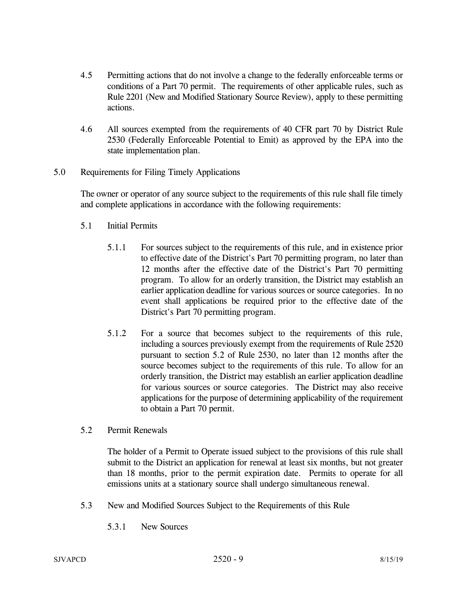- 4.5 Permitting actions that do not involve a change to the federally enforceable terms or conditions of a Part 70 permit. The requirements of other applicable rules, such as Rule 2201 (New and Modified Stationary Source Review), apply to these permitting actions.
- 4.6 All sources exempted from the requirements of 40 CFR part 70 by District Rule 2530 (Federally Enforceable Potential to Emit) as approved by the EPA into the state implementation plan.
- 5.0 Requirements for Filing Timely Applications

 The owner or operator of any source subject to the requirements of this rule shall file timely and complete applications in accordance with the following requirements:

- 5.1 Initial Permits
	- 5.1.1 For sources subject to the requirements of this rule, and in existence prior to effective date of the District's Part 70 permitting program, no later than 12 months after the effective date of the District's Part 70 permitting program. To allow for an orderly transition, the District may establish an earlier application deadline for various sources or source categories. In no event shall applications be required prior to the effective date of the District's Part 70 permitting program.
	- 5.1.2 For a source that becomes subject to the requirements of this rule, including a sources previously exempt from the requirements of Rule 2520 pursuant to section 5.2 of Rule 2530, no later than 12 months after the source becomes subject to the requirements of this rule. To allow for an orderly transition, the District may establish an earlier application deadline for various sources or source categories. The District may also receive applications for the purpose of determining applicability of the requirement to obtain a Part 70 permit.
- 5.2 Permit Renewals

 The holder of a Permit to Operate issued subject to the provisions of this rule shall submit to the District an application for renewal at least six months, but not greater than 18 months, prior to the permit expiration date. Permits to operate for all emissions units at a stationary source shall undergo simultaneous renewal.

- 5.3 New and Modified Sources Subject to the Requirements of this Rule
	- 5.3.1 New Sources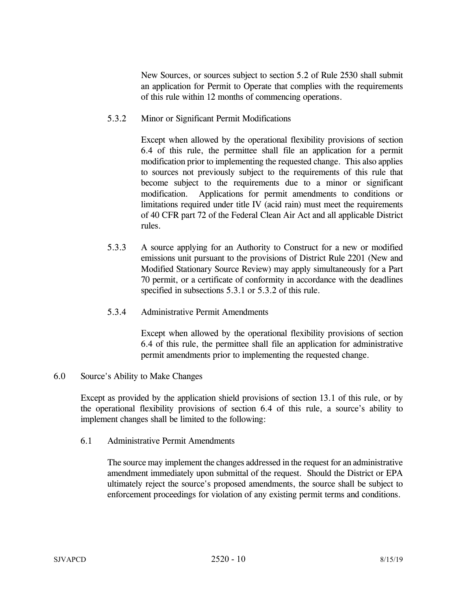New Sources, or sources subject to section 5.2 of Rule 2530 shall submit an application for Permit to Operate that complies with the requirements of this rule within 12 months of commencing operations.

### 5.3.2 Minor or Significant Permit Modifications

Except when allowed by the operational flexibility provisions of section 6.4 of this rule, the permittee shall file an application for a permit modification prior to implementing the requested change. This also applies to sources not previously subject to the requirements of this rule that become subject to the requirements due to a minor or significant modification. Applications for permit amendments to conditions or limitations required under title IV (acid rain) must meet the requirements of 40 CFR part 72 of the Federal Clean Air Act and all applicable District rules.

 5.3.3 A source applying for an Authority to Construct for a new or modified emissions unit pursuant to the provisions of District Rule 2201 (New and Modified Stationary Source Review) may apply simultaneously for a Part 70 permit, or a certificate of conformity in accordance with the deadlines specified in subsections 5.3.1 or 5.3.2 of this rule.

## 5.3.4 Administrative Permit Amendments

Except when allowed by the operational flexibility provisions of section 6.4 of this rule, the permittee shall file an application for administrative permit amendments prior to implementing the requested change.

### 6.0 Source's Ability to Make Changes

 Except as provided by the application shield provisions of section 13.1 of this rule, or by the operational flexibility provisions of section 6.4 of this rule, a source's ability to implement changes shall be limited to the following:

6.1 Administrative Permit Amendments

 The source may implement the changes addressed in the request for an administrative amendment immediately upon submittal of the request. Should the District or EPA ultimately reject the source's proposed amendments, the source shall be subject to enforcement proceedings for violation of any existing permit terms and conditions.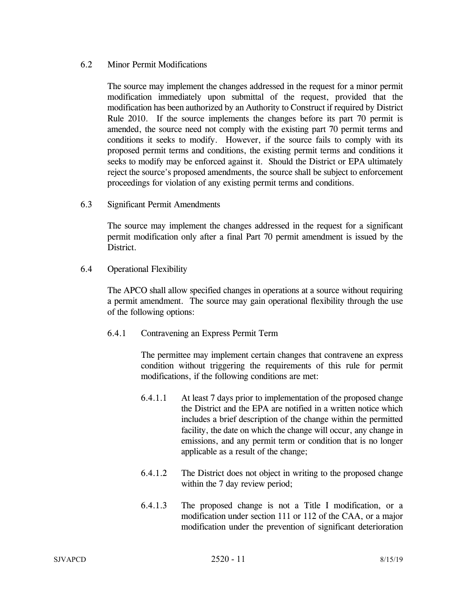## 6.2 Minor Permit Modifications

 The source may implement the changes addressed in the request for a minor permit modification immediately upon submittal of the request, provided that the modification has been authorized by an Authority to Construct if required by District Rule 2010. If the source implements the changes before its part 70 permit is amended, the source need not comply with the existing part 70 permit terms and conditions it seeks to modify. However, if the source fails to comply with its proposed permit terms and conditions, the existing permit terms and conditions it seeks to modify may be enforced against it. Should the District or EPA ultimately reject the source's proposed amendments, the source shall be subject to enforcement proceedings for violation of any existing permit terms and conditions.

6.3 Significant Permit Amendments

 The source may implement the changes addressed in the request for a significant permit modification only after a final Part 70 permit amendment is issued by the District.

6.4 Operational Flexibility

 The APCO shall allow specified changes in operations at a source without requiring a permit amendment. The source may gain operational flexibility through the use of the following options:

6.4.1 Contravening an Express Permit Term

The permittee may implement certain changes that contravene an express condition without triggering the requirements of this rule for permit modifications, if the following conditions are met:

- 6.4.1.1 At least 7 days prior to implementation of the proposed change the District and the EPA are notified in a written notice which includes a brief description of the change within the permitted facility, the date on which the change will occur, any change in emissions, and any permit term or condition that is no longer applicable as a result of the change;
- 6.4.1.2 The District does not object in writing to the proposed change within the 7 day review period;
- 6.4.1.3 The proposed change is not a Title I modification, or a modification under section 111 or 112 of the CAA, or a major modification under the prevention of significant deterioration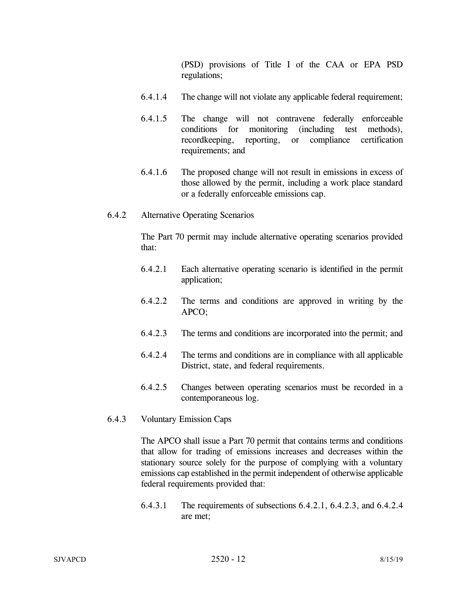(PSD) provisions of Title I of the CAA or EPA PSD regulations;

- 6.4.1.4 The change will not violate any applicable federal requirement;
- 6.4.1.5 The change will not contravene federally enforceable conditions for monitoring (including test methods), recordkeeping, reporting, or compliance certification requirements; and
- 6.4.1.6 The proposed change will not result in emissions in excess of those allowed by the permit, including a work place standard or a federally enforceable emissions cap.
- 6.4.2 Alternative Operating Scenarios

The Part 70 permit may include alternative operating scenarios provided that:

- 6.4.2.1 Each alternative operating scenario is identified in the permit application;
- 6.4.2.2 The terms and conditions are approved in writing by the APCO;
- 6.4.2.3 The terms and conditions are incorporated into the permit; and
- 6.4.2.4 The terms and conditions are in compliance with all applicable District, state, and federal requirements.
- 6.4.2.5 Changes between operating scenarios must be recorded in a contemporaneous log.
- 6.4.3 Voluntary Emission Caps

The APCO shall issue a Part 70 permit that contains terms and conditions that allow for trading of emissions increases and decreases within the stationary source solely for the purpose of complying with a voluntary emissions cap established in the permit independent of otherwise applicable federal requirements provided that:

 6.4.3.1 The requirements of subsections 6.4.2.1, 6.4.2.3, and 6.4.2.4 are met;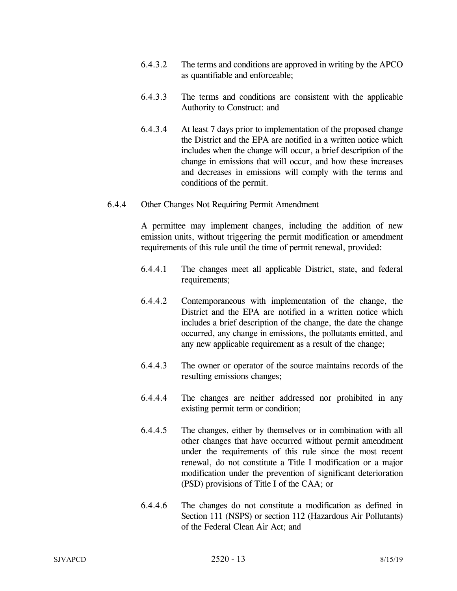- 6.4.3.2 The terms and conditions are approved in writing by the APCO as quantifiable and enforceable;
- 6.4.3.3 The terms and conditions are consistent with the applicable Authority to Construct: and
- 6.4.3.4 At least 7 days prior to implementation of the proposed change the District and the EPA are notified in a written notice which includes when the change will occur, a brief description of the change in emissions that will occur, and how these increases and decreases in emissions will comply with the terms and conditions of the permit.

#### 6.4.4 Other Changes Not Requiring Permit Amendment

A permittee may implement changes, including the addition of new emission units, without triggering the permit modification or amendment requirements of this rule until the time of permit renewal, provided:

- 6.4.4.1 The changes meet all applicable District, state, and federal requirements;
- 6.4.4.2 Contemporaneous with implementation of the change, the District and the EPA are notified in a written notice which includes a brief description of the change, the date the change occurred, any change in emissions, the pollutants emitted, and any new applicable requirement as a result of the change;
- 6.4.4.3 The owner or operator of the source maintains records of the resulting emissions changes;
- 6.4.4.4 The changes are neither addressed nor prohibited in any existing permit term or condition;
- 6.4.4.5 The changes, either by themselves or in combination with all other changes that have occurred without permit amendment under the requirements of this rule since the most recent renewal, do not constitute a Title I modification or a major modification under the prevention of significant deterioration (PSD) provisions of Title I of the CAA; or
- 6.4.4.6 The changes do not constitute a modification as defined in Section 111 (NSPS) or section 112 (Hazardous Air Pollutants) of the Federal Clean Air Act; and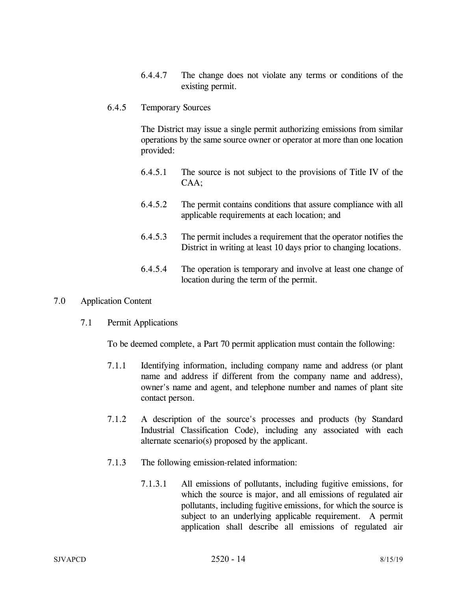6.4.4.7 The change does not violate any terms or conditions of the existing permit.

#### 6.4.5 Temporary Sources

The District may issue a single permit authorizing emissions from similar operations by the same source owner or operator at more than one location provided:

- 6.4.5.1 The source is not subject to the provisions of Title IV of the CAA;
- 6.4.5.2 The permit contains conditions that assure compliance with all applicable requirements at each location; and
- 6.4.5.3 The permit includes a requirement that the operator notifies the District in writing at least 10 days prior to changing locations.
- 6.4.5.4 The operation is temporary and involve at least one change of location during the term of the permit.

#### 7.0 Application Content

7.1 Permit Applications

To be deemed complete, a Part 70 permit application must contain the following:

- 7.1.1 Identifying information, including company name and address (or plant name and address if different from the company name and address), owner's name and agent, and telephone number and names of plant site contact person.
- 7.1.2 A description of the source's processes and products (by Standard Industrial Classification Code), including any associated with each alternate scenario(s) proposed by the applicant.
- 7.1.3 The following emission-related information:
	- 7.1.3.1 All emissions of pollutants, including fugitive emissions, for which the source is major, and all emissions of regulated air pollutants, including fugitive emissions, for which the source is subject to an underlying applicable requirement. A permit application shall describe all emissions of regulated air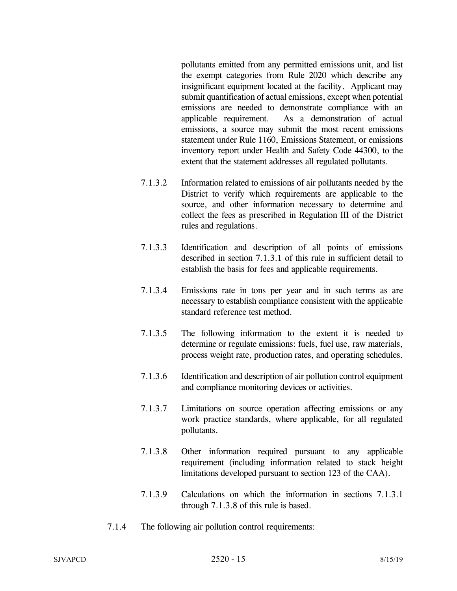pollutants emitted from any permitted emissions unit, and list the exempt categories from Rule 2020 which describe any insignificant equipment located at the facility. Applicant may submit quantification of actual emissions, except when potential emissions are needed to demonstrate compliance with an applicable requirement. As a demonstration of actual emissions, a source may submit the most recent emissions statement under Rule 1160, Emissions Statement, or emissions inventory report under Health and Safety Code 44300, to the extent that the statement addresses all regulated pollutants.

- 7.1.3.2 Information related to emissions of air pollutants needed by the District to verify which requirements are applicable to the source, and other information necessary to determine and collect the fees as prescribed in Regulation III of the District rules and regulations.
- 7.1.3.3 Identification and description of all points of emissions described in section 7.1.3.1 of this rule in sufficient detail to establish the basis for fees and applicable requirements.
- 7.1.3.4 Emissions rate in tons per year and in such terms as are necessary to establish compliance consistent with the applicable standard reference test method.
- 7.1.3.5 The following information to the extent it is needed to determine or regulate emissions: fuels, fuel use, raw materials, process weight rate, production rates, and operating schedules.
- 7.1.3.6 Identification and description of air pollution control equipment and compliance monitoring devices or activities.
- 7.1.3.7 Limitations on source operation affecting emissions or any work practice standards, where applicable, for all regulated pollutants.
- 7.1.3.8 Other information required pursuant to any applicable requirement (including information related to stack height limitations developed pursuant to section 123 of the CAA).
- 7.1.3.9 Calculations on which the information in sections 7.1.3.1 through 7.1.3.8 of this rule is based.
- 7.1.4 The following air pollution control requirements: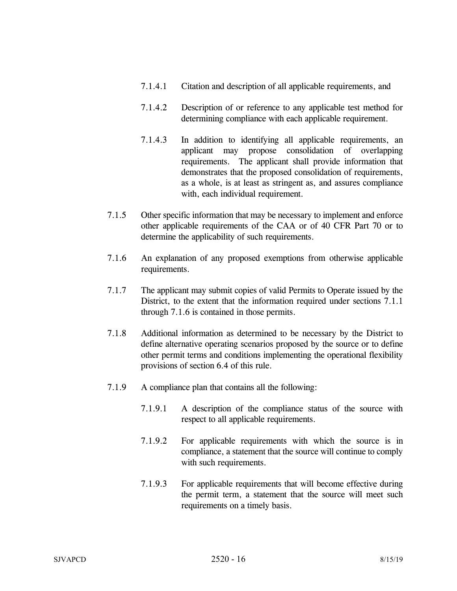- 7.1.4.1 Citation and description of all applicable requirements, and
- 7.1.4.2 Description of or reference to any applicable test method for determining compliance with each applicable requirement.
- 7.1.4.3 In addition to identifying all applicable requirements, an applicant may propose consolidation of overlapping requirements. The applicant shall provide information that demonstrates that the proposed consolidation of requirements, as a whole, is at least as stringent as, and assures compliance with, each individual requirement.
- 7.1.5 Other specific information that may be necessary to implement and enforce other applicable requirements of the CAA or of 40 CFR Part 70 or to determine the applicability of such requirements.
- 7.1.6 An explanation of any proposed exemptions from otherwise applicable requirements.
- 7.1.7 The applicant may submit copies of valid Permits to Operate issued by the District, to the extent that the information required under sections 7.1.1 through 7.1.6 is contained in those permits.
- 7.1.8 Additional information as determined to be necessary by the District to define alternative operating scenarios proposed by the source or to define other permit terms and conditions implementing the operational flexibility provisions of section 6.4 of this rule.
- 7.1.9 A compliance plan that contains all the following:
	- 7.1.9.1 A description of the compliance status of the source with respect to all applicable requirements.
	- 7.1.9.2 For applicable requirements with which the source is in compliance, a statement that the source will continue to comply with such requirements.
	- 7.1.9.3 For applicable requirements that will become effective during the permit term, a statement that the source will meet such requirements on a timely basis.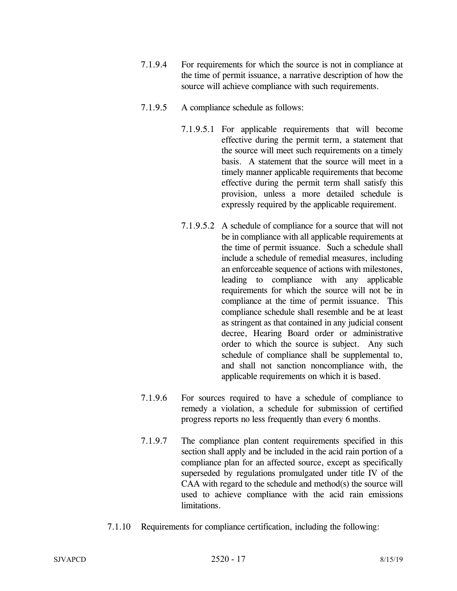- 7.1.9.4 For requirements for which the source is not in compliance at the time of permit issuance, a narrative description of how the source will achieve compliance with such requirements.
- 7.1.9.5 A compliance schedule as follows:
	- 7.1.9.5.1 For applicable requirements that will become effective during the permit term, a statement that the source will meet such requirements on a timely basis. A statement that the source will meet in a timely manner applicable requirements that become effective during the permit term shall satisfy this provision, unless a more detailed schedule is expressly required by the applicable requirement.
	- 7.1.9.5.2 A schedule of compliance for a source that will not be in compliance with all applicable requirements at the time of permit issuance. Such a schedule shall include a schedule of remedial measures, including an enforceable sequence of actions with milestones, leading to compliance with any applicable requirements for which the source will not be in compliance at the time of permit issuance. This compliance schedule shall resemble and be at least as stringent as that contained in any judicial consent decree, Hearing Board order or administrative order to which the source is subject. Any such schedule of compliance shall be supplemental to, and shall not sanction noncompliance with, the applicable requirements on which it is based.
- 7.1.9.6 For sources required to have a schedule of compliance to remedy a violation, a schedule for submission of certified progress reports no less frequently than every 6 months.
- 7.1.9.7 The compliance plan content requirements specified in this section shall apply and be included in the acid rain portion of a compliance plan for an affected source, except as specifically superseded by regulations promulgated under title IV of the CAA with regard to the schedule and method(s) the source will used to achieve compliance with the acid rain emissions limitations.
- 7.1.10 Requirements for compliance certification, including the following: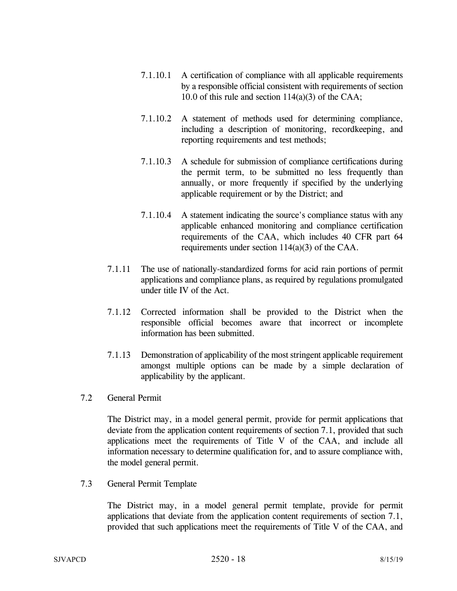- 7.1.10.1 A certification of compliance with all applicable requirements by a responsible official consistent with requirements of section 10.0 of this rule and section 114(a)(3) of the CAA;
- 7.1.10.2 A statement of methods used for determining compliance, including a description of monitoring, recordkeeping, and reporting requirements and test methods;
- 7.1.10.3 A schedule for submission of compliance certifications during the permit term, to be submitted no less frequently than annually, or more frequently if specified by the underlying applicable requirement or by the District; and
- 7.1.10.4 A statement indicating the source's compliance status with any applicable enhanced monitoring and compliance certification requirements of the CAA, which includes 40 CFR part 64 requirements under section 114(a)(3) of the CAA.
- 7.1.11 The use of nationally-standardized forms for acid rain portions of permit applications and compliance plans, as required by regulations promulgated under title IV of the Act.
- 7.1.12 Corrected information shall be provided to the District when the responsible official becomes aware that incorrect or incomplete information has been submitted.
- 7.1.13 Demonstration of applicability of the most stringent applicable requirement amongst multiple options can be made by a simple declaration of applicability by the applicant.
- 7.2 General Permit

 The District may, in a model general permit, provide for permit applications that deviate from the application content requirements of section 7.1, provided that such applications meet the requirements of Title V of the CAA, and include all information necessary to determine qualification for, and to assure compliance with, the model general permit.

7.3 General Permit Template

 The District may, in a model general permit template, provide for permit applications that deviate from the application content requirements of section 7.1, provided that such applications meet the requirements of Title V of the CAA, and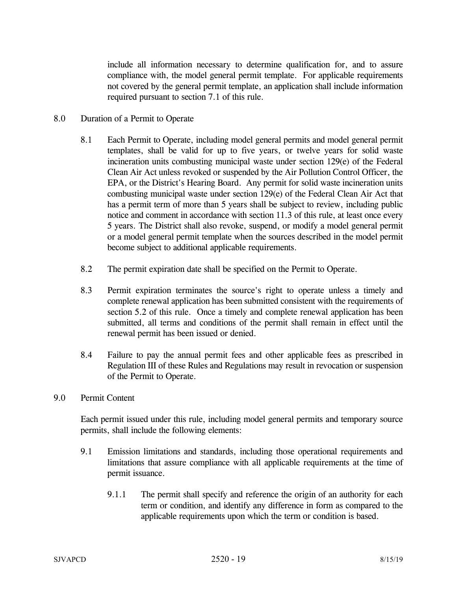include all information necessary to determine qualification for, and to assure compliance with, the model general permit template. For applicable requirements not covered by the general permit template, an application shall include information required pursuant to section 7.1 of this rule.

#### 8.0 Duration of a Permit to Operate

- 8.1 Each Permit to Operate, including model general permits and model general permit templates, shall be valid for up to five years, or twelve years for solid waste incineration units combusting municipal waste under section 129(e) of the Federal Clean Air Act unless revoked or suspended by the Air Pollution Control Officer, the EPA, or the District's Hearing Board. Any permit for solid waste incineration units combusting municipal waste under section 129(e) of the Federal Clean Air Act that has a permit term of more than 5 years shall be subject to review, including public notice and comment in accordance with section 11.3 of this rule, at least once every 5 years. The District shall also revoke, suspend, or modify a model general permit or a model general permit template when the sources described in the model permit become subject to additional applicable requirements.
- 8.2 The permit expiration date shall be specified on the Permit to Operate.
- 8.3 Permit expiration terminates the source's right to operate unless a timely and complete renewal application has been submitted consistent with the requirements of section 5.2 of this rule. Once a timely and complete renewal application has been submitted, all terms and conditions of the permit shall remain in effect until the renewal permit has been issued or denied.
- 8.4 Failure to pay the annual permit fees and other applicable fees as prescribed in Regulation III of these Rules and Regulations may result in revocation or suspension of the Permit to Operate.
- 9.0 Permit Content

 Each permit issued under this rule, including model general permits and temporary source permits, shall include the following elements:

- 9.1 Emission limitations and standards, including those operational requirements and limitations that assure compliance with all applicable requirements at the time of permit issuance.
	- 9.1.1 The permit shall specify and reference the origin of an authority for each term or condition, and identify any difference in form as compared to the applicable requirements upon which the term or condition is based.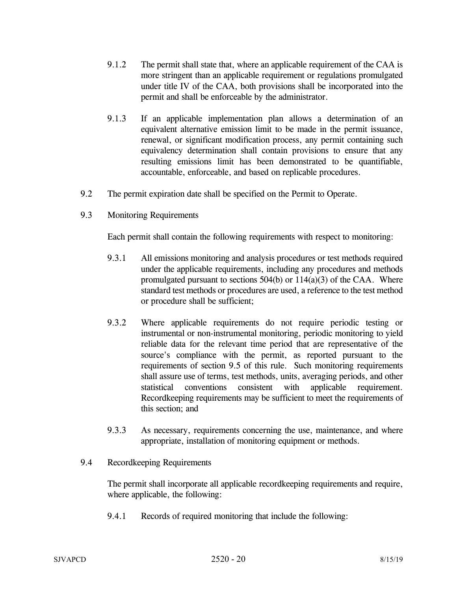- 9.1.2 The permit shall state that, where an applicable requirement of the CAA is more stringent than an applicable requirement or regulations promulgated under title IV of the CAA, both provisions shall be incorporated into the permit and shall be enforceable by the administrator.
- 9.1.3 If an applicable implementation plan allows a determination of an equivalent alternative emission limit to be made in the permit issuance, renewal, or significant modification process, any permit containing such equivalency determination shall contain provisions to ensure that any resulting emissions limit has been demonstrated to be quantifiable, accountable, enforceable, and based on replicable procedures.
- 9.2 The permit expiration date shall be specified on the Permit to Operate.
- 9.3 Monitoring Requirements

Each permit shall contain the following requirements with respect to monitoring:

- 9.3.1 All emissions monitoring and analysis procedures or test methods required under the applicable requirements, including any procedures and methods promulgated pursuant to sections  $504(b)$  or  $114(a)(3)$  of the CAA. Where standard test methods or procedures are used, a reference to the test method or procedure shall be sufficient;
- 9.3.2 Where applicable requirements do not require periodic testing or instrumental or non-instrumental monitoring, periodic monitoring to yield reliable data for the relevant time period that are representative of the source's compliance with the permit, as reported pursuant to the requirements of section 9.5 of this rule. Such monitoring requirements shall assure use of terms, test methods, units, averaging periods, and other statistical conventions consistent with applicable requirement. Recordkeeping requirements may be sufficient to meet the requirements of this section; and
- 9.3.3 As necessary, requirements concerning the use, maintenance, and where appropriate, installation of monitoring equipment or methods.
- 9.4 Recordkeeping Requirements

 The permit shall incorporate all applicable recordkeeping requirements and require, where applicable, the following:

9.4.1 Records of required monitoring that include the following: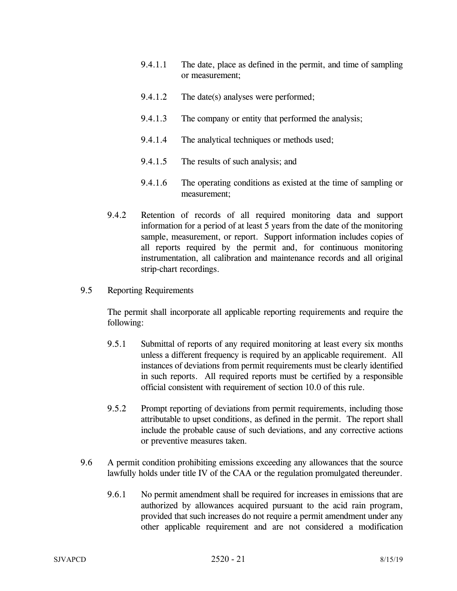- 9.4.1.1 The date, place as defined in the permit, and time of sampling or measurement;
- 9.4.1.2 The date(s) analyses were performed;
- 9.4.1.3 The company or entity that performed the analysis;
- 9.4.1.4 The analytical techniques or methods used;
- 9.4.1.5 The results of such analysis; and
- 9.4.1.6 The operating conditions as existed at the time of sampling or measurement;
- 9.4.2 Retention of records of all required monitoring data and support information for a period of at least 5 years from the date of the monitoring sample, measurement, or report. Support information includes copies of all reports required by the permit and, for continuous monitoring instrumentation, all calibration and maintenance records and all original strip-chart recordings.
- 9.5 Reporting Requirements

The permit shall incorporate all applicable reporting requirements and require the following:

- 9.5.1 Submittal of reports of any required monitoring at least every six months unless a different frequency is required by an applicable requirement. All instances of deviations from permit requirements must be clearly identified in such reports. All required reports must be certified by a responsible official consistent with requirement of section 10.0 of this rule.
- 9.5.2 Prompt reporting of deviations from permit requirements, including those attributable to upset conditions, as defined in the permit. The report shall include the probable cause of such deviations, and any corrective actions or preventive measures taken.
- 9.6 A permit condition prohibiting emissions exceeding any allowances that the source lawfully holds under title IV of the CAA or the regulation promulgated thereunder.
	- 9.6.1 No permit amendment shall be required for increases in emissions that are authorized by allowances acquired pursuant to the acid rain program, provided that such increases do not require a permit amendment under any other applicable requirement and are not considered a modification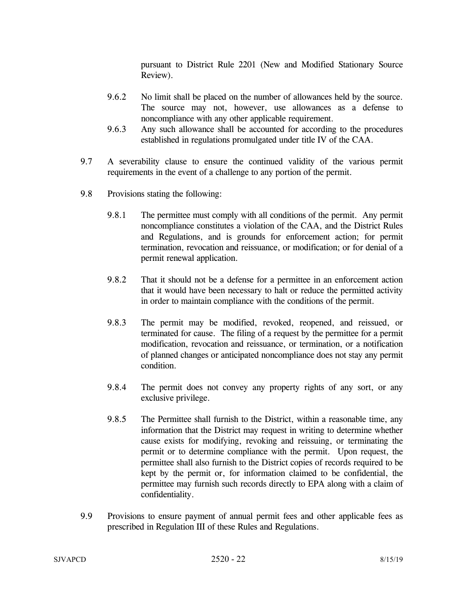pursuant to District Rule 2201 (New and Modified Stationary Source Review).

- 9.6.2 No limit shall be placed on the number of allowances held by the source. The source may not, however, use allowances as a defense to noncompliance with any other applicable requirement.
- 9.6.3 Any such allowance shall be accounted for according to the procedures established in regulations promulgated under title IV of the CAA.
- 9.7 A severability clause to ensure the continued validity of the various permit requirements in the event of a challenge to any portion of the permit.
- 9.8 Provisions stating the following:
	- 9.8.1 The permittee must comply with all conditions of the permit. Any permit noncompliance constitutes a violation of the CAA, and the District Rules and Regulations, and is grounds for enforcement action; for permit termination, revocation and reissuance, or modification; or for denial of a permit renewal application.
	- 9.8.2 That it should not be a defense for a permittee in an enforcement action that it would have been necessary to halt or reduce the permitted activity in order to maintain compliance with the conditions of the permit.
	- 9.8.3 The permit may be modified, revoked, reopened, and reissued, or terminated for cause. The filing of a request by the permittee for a permit modification, revocation and reissuance, or termination, or a notification of planned changes or anticipated noncompliance does not stay any permit condition.
	- 9.8.4 The permit does not convey any property rights of any sort, or any exclusive privilege.
	- 9.8.5 The Permittee shall furnish to the District, within a reasonable time, any information that the District may request in writing to determine whether cause exists for modifying, revoking and reissuing, or terminating the permit or to determine compliance with the permit. Upon request, the permittee shall also furnish to the District copies of records required to be kept by the permit or, for information claimed to be confidential, the permittee may furnish such records directly to EPA along with a claim of confidentiality.
- 9.9 Provisions to ensure payment of annual permit fees and other applicable fees as prescribed in Regulation III of these Rules and Regulations.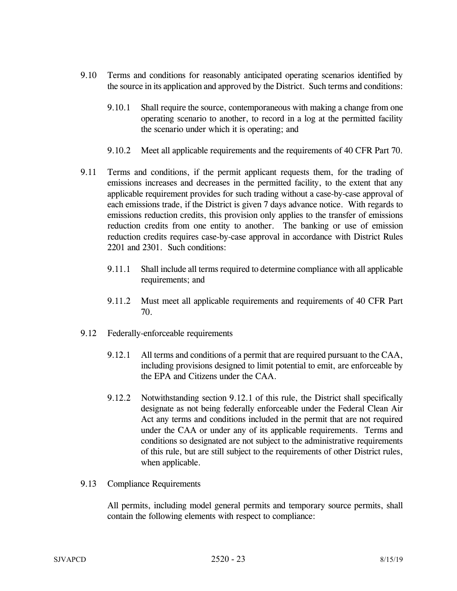- 9.10 Terms and conditions for reasonably anticipated operating scenarios identified by the source in its application and approved by the District. Such terms and conditions:
	- 9.10.1 Shall require the source, contemporaneous with making a change from one operating scenario to another, to record in a log at the permitted facility the scenario under which it is operating; and
	- 9.10.2 Meet all applicable requirements and the requirements of 40 CFR Part 70.
- 9.11 Terms and conditions, if the permit applicant requests them, for the trading of emissions increases and decreases in the permitted facility, to the extent that any applicable requirement provides for such trading without a case-by-case approval of each emissions trade, if the District is given 7 days advance notice. With regards to emissions reduction credits, this provision only applies to the transfer of emissions reduction credits from one entity to another. The banking or use of emission reduction credits requires case-by-case approval in accordance with District Rules 2201 and 2301. Such conditions:
	- 9.11.1 Shall include all terms required to determine compliance with all applicable requirements; and
	- 9.11.2 Must meet all applicable requirements and requirements of 40 CFR Part 70.
- 9.12 Federally-enforceable requirements
	- 9.12.1 All terms and conditions of a permit that are required pursuant to the CAA, including provisions designed to limit potential to emit, are enforceable by the EPA and Citizens under the CAA.
	- 9.12.2 Notwithstanding section 9.12.1 of this rule, the District shall specifically designate as not being federally enforceable under the Federal Clean Air Act any terms and conditions included in the permit that are not required under the CAA or under any of its applicable requirements. Terms and conditions so designated are not subject to the administrative requirements of this rule, but are still subject to the requirements of other District rules, when applicable.
- 9.13 Compliance Requirements

All permits, including model general permits and temporary source permits, shall contain the following elements with respect to compliance: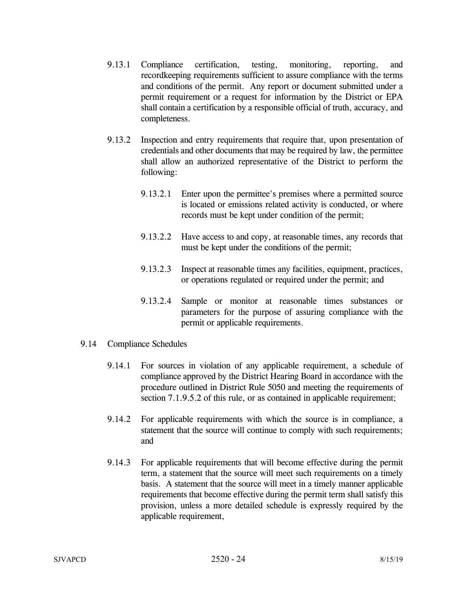- 9.13.1 Compliance certification, testing, monitoring, reporting, and recordkeeping requirements sufficient to assure compliance with the terms and conditions of the permit. Any report or document submitted under a permit requirement or a request for information by the District or EPA shall contain a certification by a responsible official of truth, accuracy, and completeness.
- 9.13.2 Inspection and entry requirements that require that, upon presentation of credentials and other documents that may be required by law, the permittee shall allow an authorized representative of the District to perform the following:
	- 9.13.2.1 Enter upon the permittee's premises where a permitted source is located or emissions related activity is conducted, or where records must be kept under condition of the permit;
	- 9.13.2.2 Have access to and copy, at reasonable times, any records that must be kept under the conditions of the permit;
	- 9.13.2.3 Inspect at reasonable times any facilities, equipment, practices, or operations regulated or required under the permit; and
	- 9.13.2.4 Sample or monitor at reasonable times substances or parameters for the purpose of assuring compliance with the permit or applicable requirements.
- 9.14 Compliance Schedules
	- 9.14.1 For sources in violation of any applicable requirement, a schedule of compliance approved by the District Hearing Board in accordance with the procedure outlined in District Rule 5050 and meeting the requirements of section 7.1.9.5.2 of this rule, or as contained in applicable requirement;
	- 9.14.2 For applicable requirements with which the source is in compliance, a statement that the source will continue to comply with such requirements; and
	- 9.14.3 For applicable requirements that will become effective during the permit term, a statement that the source will meet such requirements on a timely basis. A statement that the source will meet in a timely manner applicable requirements that become effective during the permit term shall satisfy this provision, unless a more detailed schedule is expressly required by the applicable requirement,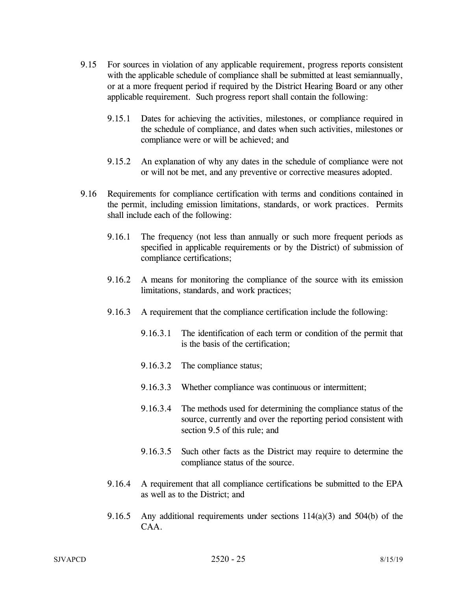- 9.15 For sources in violation of any applicable requirement, progress reports consistent with the applicable schedule of compliance shall be submitted at least semiannually, or at a more frequent period if required by the District Hearing Board or any other applicable requirement. Such progress report shall contain the following:
	- 9.15.1 Dates for achieving the activities, milestones, or compliance required in the schedule of compliance, and dates when such activities, milestones or compliance were or will be achieved; and
	- 9.15.2 An explanation of why any dates in the schedule of compliance were not or will not be met, and any preventive or corrective measures adopted.
- 9.16 Requirements for compliance certification with terms and conditions contained in the permit, including emission limitations, standards, or work practices. Permits shall include each of the following:
	- 9.16.1 The frequency (not less than annually or such more frequent periods as specified in applicable requirements or by the District) of submission of compliance certifications;
	- 9.16.2 A means for monitoring the compliance of the source with its emission limitations, standards, and work practices;
	- 9.16.3 A requirement that the compliance certification include the following:
		- 9.16.3.1 The identification of each term or condition of the permit that is the basis of the certification;
		- 9.16.3.2 The compliance status;
		- 9.16.3.3 Whether compliance was continuous or intermittent;
		- 9.16.3.4 The methods used for determining the compliance status of the source, currently and over the reporting period consistent with section 9.5 of this rule; and
		- 9.16.3.5 Such other facts as the District may require to determine the compliance status of the source.
	- 9.16.4 A requirement that all compliance certifications be submitted to the EPA as well as to the District; and
	- 9.16.5 Any additional requirements under sections  $114(a)(3)$  and  $504(b)$  of the CAA.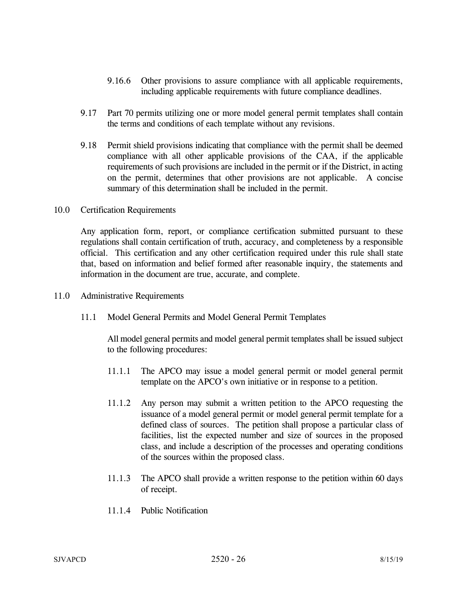- 9.16.6 Other provisions to assure compliance with all applicable requirements, including applicable requirements with future compliance deadlines.
- 9.17 Part 70 permits utilizing one or more model general permit templates shall contain the terms and conditions of each template without any revisions.
- 9.18 Permit shield provisions indicating that compliance with the permit shall be deemed compliance with all other applicable provisions of the CAA, if the applicable requirements of such provisions are included in the permit or if the District, in acting on the permit, determines that other provisions are not applicable. A concise summary of this determination shall be included in the permit.
- 10.0 Certification Requirements

 Any application form, report, or compliance certification submitted pursuant to these regulations shall contain certification of truth, accuracy, and completeness by a responsible official. This certification and any other certification required under this rule shall state that, based on information and belief formed after reasonable inquiry, the statements and information in the document are true, accurate, and complete.

- 11.0 Administrative Requirements
	- 11.1 Model General Permits and Model General Permit Templates

All model general permits and model general permit templates shall be issued subject to the following procedures:

- 11.1.1 The APCO may issue a model general permit or model general permit template on the APCO's own initiative or in response to a petition.
- 11.1.2 Any person may submit a written petition to the APCO requesting the issuance of a model general permit or model general permit template for a defined class of sources. The petition shall propose a particular class of facilities, list the expected number and size of sources in the proposed class, and include a description of the processes and operating conditions of the sources within the proposed class.
- 11.1.3 The APCO shall provide a written response to the petition within 60 days of receipt.
- 11.1.4 Public Notification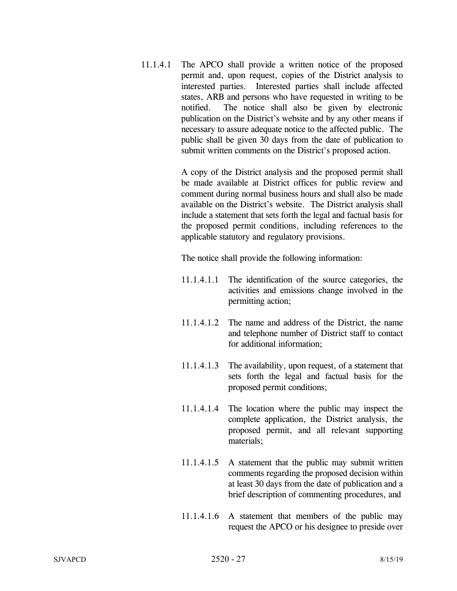11.1.4.1 The APCO shall provide a written notice of the proposed permit and, upon request, copies of the District analysis to interested parties. Interested parties shall include affected states, ARB and persons who have requested in writing to be notified. The notice shall also be given by electronic publication on the District's website and by any other means if necessary to assure adequate notice to the affected public. The public shall be given 30 days from the date of publication to submit written comments on the District's proposed action.

> A copy of the District analysis and the proposed permit shall be made available at District offices for public review and comment during normal business hours and shall also be made available on the District's website. The District analysis shall include a statement that sets forth the legal and factual basis for the proposed permit conditions, including references to the applicable statutory and regulatory provisions.

The notice shall provide the following information:

- 11.1.4.1.1 The identification of the source categories, the activities and emissions change involved in the permitting action;
- 11.1.4.1.2 The name and address of the District, the name and telephone number of District staff to contact for additional information;
- 11.1.4.1.3 The availability, upon request, of a statement that sets forth the legal and factual basis for the proposed permit conditions;
- 11.1.4.1.4 The location where the public may inspect the complete application, the District analysis, the proposed permit, and all relevant supporting materials;
- 11.1.4.1.5 A statement that the public may submit written comments regarding the proposed decision within at least 30 days from the date of publication and a brief description of commenting procedures, and
- 11.1.4.1.6 A statement that members of the public may request the APCO or his designee to preside over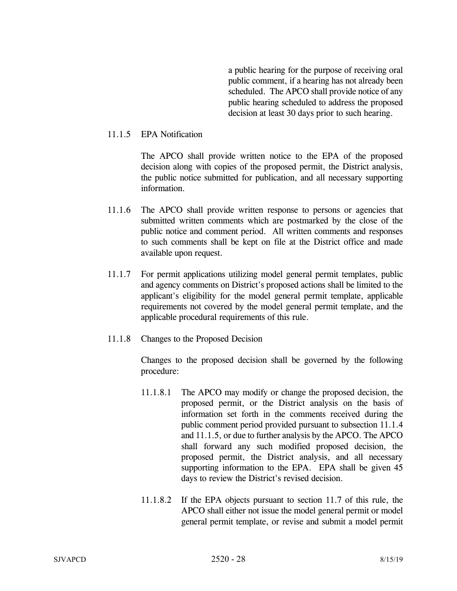a public hearing for the purpose of receiving oral public comment, if a hearing has not already been scheduled. The APCO shall provide notice of any public hearing scheduled to address the proposed decision at least 30 days prior to such hearing.

### 11.1.5 EPA Notification

 The APCO shall provide written notice to the EPA of the proposed decision along with copies of the proposed permit, the District analysis, the public notice submitted for publication, and all necessary supporting information.

- 11.1.6 The APCO shall provide written response to persons or agencies that submitted written comments which are postmarked by the close of the public notice and comment period. All written comments and responses to such comments shall be kept on file at the District office and made available upon request.
- 11.1.7 For permit applications utilizing model general permit templates, public and agency comments on District's proposed actions shall be limited to the applicant's eligibility for the model general permit template, applicable requirements not covered by the model general permit template, and the applicable procedural requirements of this rule.
- 11.1.8 Changes to the Proposed Decision

Changes to the proposed decision shall be governed by the following procedure:

- 11.1.8.1 The APCO may modify or change the proposed decision, the proposed permit, or the District analysis on the basis of information set forth in the comments received during the public comment period provided pursuant to subsection 11.1.4 and 11.1.5, or due to further analysis by the APCO. The APCO shall forward any such modified proposed decision, the proposed permit, the District analysis, and all necessary supporting information to the EPA. EPA shall be given 45 days to review the District's revised decision.
- 11.1.8.2 If the EPA objects pursuant to section 11.7 of this rule, the APCO shall either not issue the model general permit or model general permit template, or revise and submit a model permit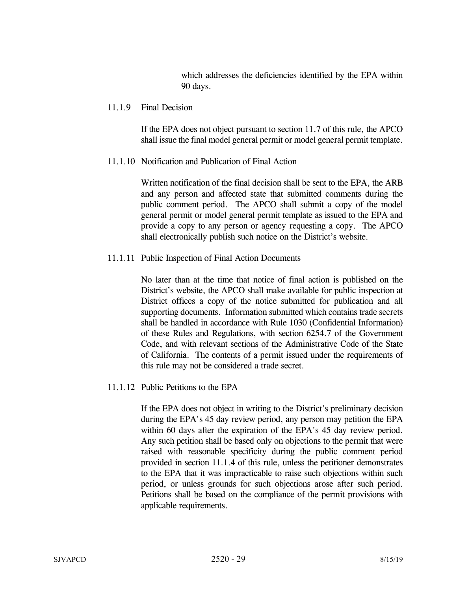which addresses the deficiencies identified by the EPA within 90 days.

#### 11.1.9 Final Decision

If the EPA does not object pursuant to section 11.7 of this rule, the APCO shall issue the final model general permit or model general permit template.

### 11.1.10 Notification and Publication of Final Action

Written notification of the final decision shall be sent to the EPA, the ARB and any person and affected state that submitted comments during the public comment period. The APCO shall submit a copy of the model general permit or model general permit template as issued to the EPA and provide a copy to any person or agency requesting a copy. The APCO shall electronically publish such notice on the District's website.

## 11.1.11 Public Inspection of Final Action Documents

No later than at the time that notice of final action is published on the District's website, the APCO shall make available for public inspection at District offices a copy of the notice submitted for publication and all supporting documents. Information submitted which contains trade secrets shall be handled in accordance with Rule 1030 (Confidential Information) of these Rules and Regulations, with section 6254.7 of the Government Code, and with relevant sections of the Administrative Code of the State of California. The contents of a permit issued under the requirements of this rule may not be considered a trade secret.

### 11.1.12 Public Petitions to the EPA

If the EPA does not object in writing to the District's preliminary decision during the EPA's 45 day review period, any person may petition the EPA within 60 days after the expiration of the EPA's 45 day review period. Any such petition shall be based only on objections to the permit that were raised with reasonable specificity during the public comment period provided in section 11.1.4 of this rule, unless the petitioner demonstrates to the EPA that it was impracticable to raise such objections within such period, or unless grounds for such objections arose after such period. Petitions shall be based on the compliance of the permit provisions with applicable requirements.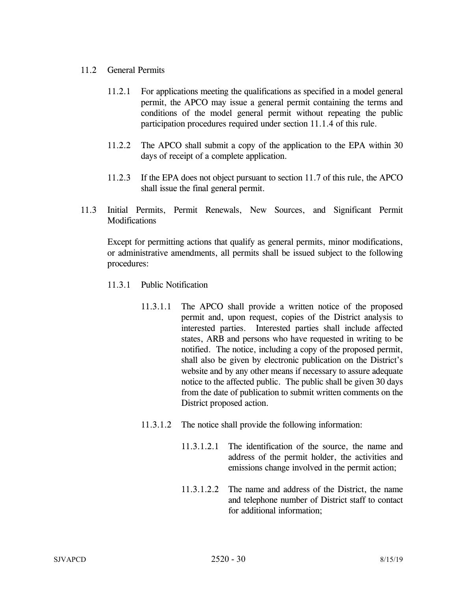### 11.2 General Permits

- 11.2.1 For applications meeting the qualifications as specified in a model general permit, the APCO may issue a general permit containing the terms and conditions of the model general permit without repeating the public participation procedures required under section 11.1.4 of this rule.
- 11.2.2 The APCO shall submit a copy of the application to the EPA within 30 days of receipt of a complete application.
- 11.2.3 If the EPA does not object pursuant to section 11.7 of this rule, the APCO shall issue the final general permit.
- 11.3 Initial Permits, Permit Renewals, New Sources, and Significant Permit **Modifications**

 Except for permitting actions that qualify as general permits, minor modifications, or administrative amendments, all permits shall be issued subject to the following procedures:

- 11.3.1 Public Notification
	- 11.3.1.1 The APCO shall provide a written notice of the proposed permit and, upon request, copies of the District analysis to interested parties. Interested parties shall include affected states, ARB and persons who have requested in writing to be notified. The notice, including a copy of the proposed permit, shall also be given by electronic publication on the District's website and by any other means if necessary to assure adequate notice to the affected public. The public shall be given 30 days from the date of publication to submit written comments on the District proposed action.
	- 11.3.1.2 The notice shall provide the following information:
		- 11.3.1.2.1 The identification of the source, the name and address of the permit holder, the activities and emissions change involved in the permit action;
		- 11.3.1.2.2 The name and address of the District, the name and telephone number of District staff to contact for additional information;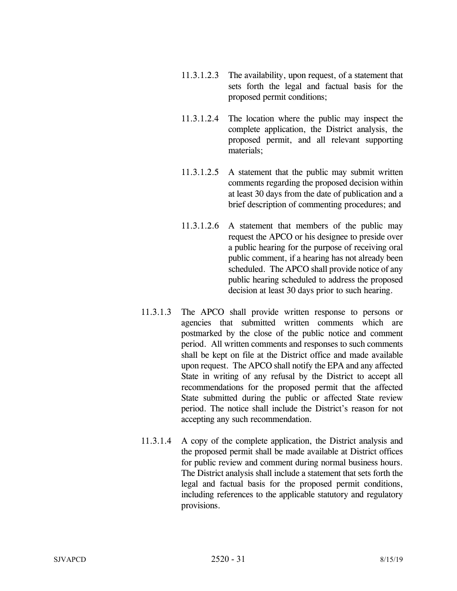- 11.3.1.2.3 The availability, upon request, of a statement that sets forth the legal and factual basis for the proposed permit conditions;
- 11.3.1.2.4 The location where the public may inspect the complete application, the District analysis, the proposed permit, and all relevant supporting materials;
- 11.3.1.2.5 A statement that the public may submit written comments regarding the proposed decision within at least 30 days from the date of publication and a brief description of commenting procedures; and
- 11.3.1.2.6 A statement that members of the public may request the APCO or his designee to preside over a public hearing for the purpose of receiving oral public comment, if a hearing has not already been scheduled. The APCO shall provide notice of any public hearing scheduled to address the proposed decision at least 30 days prior to such hearing.
- 11.3.1.3 The APCO shall provide written response to persons or agencies that submitted written comments which are postmarked by the close of the public notice and comment period. All written comments and responses to such comments shall be kept on file at the District office and made available upon request. The APCO shall notify the EPA and any affected State in writing of any refusal by the District to accept all recommendations for the proposed permit that the affected State submitted during the public or affected State review period. The notice shall include the District's reason for not accepting any such recommendation.
- 11.3.1.4 A copy of the complete application, the District analysis and the proposed permit shall be made available at District offices for public review and comment during normal business hours. The District analysis shall include a statement that sets forth the legal and factual basis for the proposed permit conditions, including references to the applicable statutory and regulatory provisions.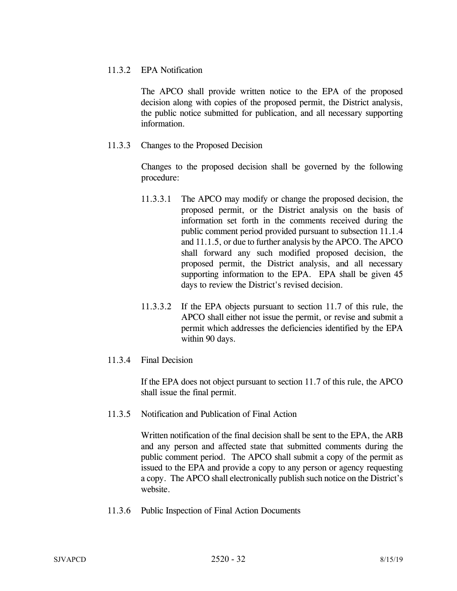### 11.3.2 EPA Notification

The APCO shall provide written notice to the EPA of the proposed decision along with copies of the proposed permit, the District analysis, the public notice submitted for publication, and all necessary supporting information.

11.3.3 Changes to the Proposed Decision

Changes to the proposed decision shall be governed by the following procedure:

- 11.3.3.1 The APCO may modify or change the proposed decision, the proposed permit, or the District analysis on the basis of information set forth in the comments received during the public comment period provided pursuant to subsection 11.1.4 and 11.1.5, or due to further analysis by the APCO. The APCO shall forward any such modified proposed decision, the proposed permit, the District analysis, and all necessary supporting information to the EPA. EPA shall be given 45 days to review the District's revised decision.
- 11.3.3.2 If the EPA objects pursuant to section 11.7 of this rule, the APCO shall either not issue the permit, or revise and submit a permit which addresses the deficiencies identified by the EPA within 90 days.
- 11.3.4 Final Decision

If the EPA does not object pursuant to section 11.7 of this rule, the APCO shall issue the final permit.

11.3.5 Notification and Publication of Final Action

Written notification of the final decision shall be sent to the EPA, the ARB and any person and affected state that submitted comments during the public comment period. The APCO shall submit a copy of the permit as issued to the EPA and provide a copy to any person or agency requesting a copy. The APCO shall electronically publish such notice on the District's website.

11.3.6 Public Inspection of Final Action Documents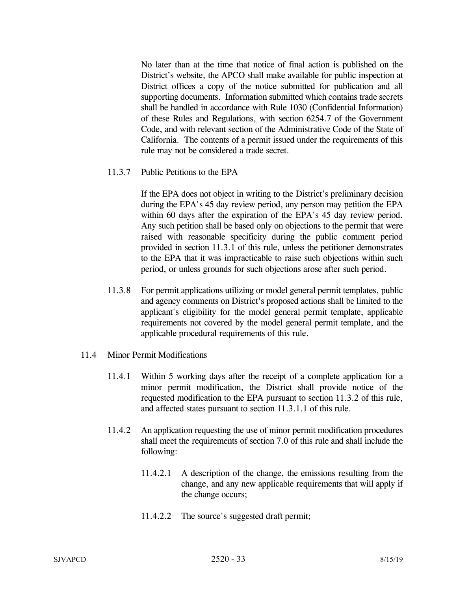No later than at the time that notice of final action is published on the District's website, the APCO shall make available for public inspection at District offices a copy of the notice submitted for publication and all supporting documents. Information submitted which contains trade secrets shall be handled in accordance with Rule 1030 (Confidential Information) of these Rules and Regulations, with section 6254.7 of the Government Code, and with relevant section of the Administrative Code of the State of California. The contents of a permit issued under the requirements of this rule may not be considered a trade secret.

11.3.7 Public Petitions to the EPA

If the EPA does not object in writing to the District's preliminary decision during the EPA's 45 day review period, any person may petition the EPA within 60 days after the expiration of the EPA's 45 day review period. Any such petition shall be based only on objections to the permit that were raised with reasonable specificity during the public comment period provided in section 11.3.1 of this rule, unless the petitioner demonstrates to the EPA that it was impracticable to raise such objections within such period, or unless grounds for such objections arose after such period.

- 11.3.8 For permit applications utilizing or model general permit templates, public and agency comments on District's proposed actions shall be limited to the applicant's eligibility for the model general permit template, applicable requirements not covered by the model general permit template, and the applicable procedural requirements of this rule.
- 11.4 Minor Permit Modifications
	- 11.4.1 Within 5 working days after the receipt of a complete application for a minor permit modification, the District shall provide notice of the requested modification to the EPA pursuant to section 11.3.2 of this rule, and affected states pursuant to section 11.3.1.1 of this rule.
	- 11.4.2 An application requesting the use of minor permit modification procedures shall meet the requirements of section 7.0 of this rule and shall include the following:
		- 11.4.2.1 A description of the change, the emissions resulting from the change, and any new applicable requirements that will apply if the change occurs;
		- 11.4.2.2 The source's suggested draft permit;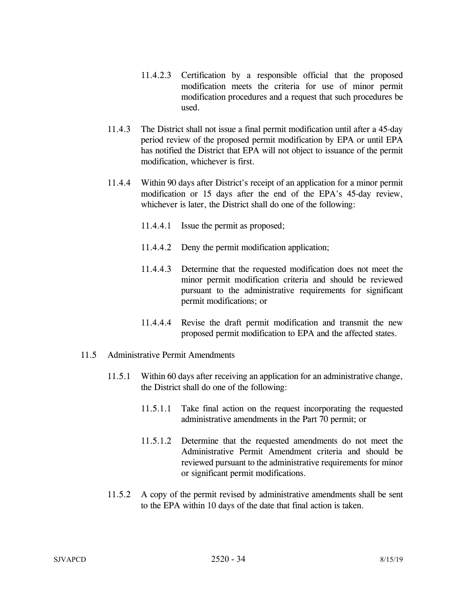- 11.4.2.3 Certification by a responsible official that the proposed modification meets the criteria for use of minor permit modification procedures and a request that such procedures be used.
- 11.4.3 The District shall not issue a final permit modification until after a 45-day period review of the proposed permit modification by EPA or until EPA has notified the District that EPA will not object to issuance of the permit modification, whichever is first.
- 11.4.4 Within 90 days after District's receipt of an application for a minor permit modification or 15 days after the end of the EPA's 45-day review, whichever is later, the District shall do one of the following:
	- 11.4.4.1 Issue the permit as proposed;
	- 11.4.4.2 Deny the permit modification application;
	- 11.4.4.3 Determine that the requested modification does not meet the minor permit modification criteria and should be reviewed pursuant to the administrative requirements for significant permit modifications; or
	- 11.4.4.4 Revise the draft permit modification and transmit the new proposed permit modification to EPA and the affected states.
- 11.5 Administrative Permit Amendments
	- 11.5.1 Within 60 days after receiving an application for an administrative change, the District shall do one of the following:
		- 11.5.1.1 Take final action on the request incorporating the requested administrative amendments in the Part 70 permit; or
		- 11.5.1.2 Determine that the requested amendments do not meet the Administrative Permit Amendment criteria and should be reviewed pursuant to the administrative requirements for minor or significant permit modifications.
	- 11.5.2 A copy of the permit revised by administrative amendments shall be sent to the EPA within 10 days of the date that final action is taken.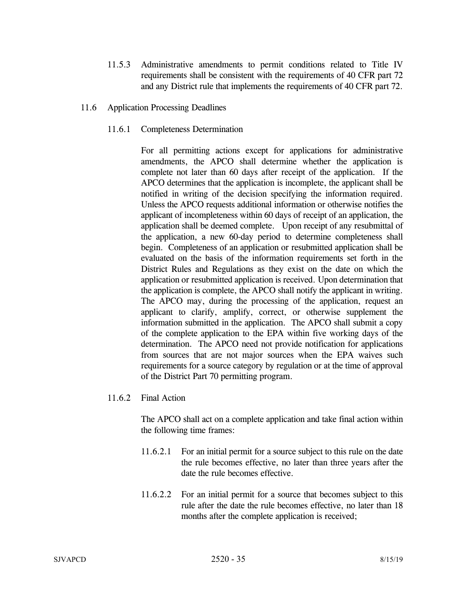- 11.5.3 Administrative amendments to permit conditions related to Title IV requirements shall be consistent with the requirements of 40 CFR part 72 and any District rule that implements the requirements of 40 CFR part 72.
- 11.6 Application Processing Deadlines
	- 11.6.1 Completeness Determination

For all permitting actions except for applications for administrative amendments, the APCO shall determine whether the application is complete not later than 60 days after receipt of the application. If the APCO determines that the application is incomplete, the applicant shall be notified in writing of the decision specifying the information required. Unless the APCO requests additional information or otherwise notifies the applicant of incompleteness within 60 days of receipt of an application, the application shall be deemed complete. Upon receipt of any resubmittal of the application, a new 60-day period to determine completeness shall begin. Completeness of an application or resubmitted application shall be evaluated on the basis of the information requirements set forth in the District Rules and Regulations as they exist on the date on which the application or resubmitted application is received. Upon determination that the application is complete, the APCO shall notify the applicant in writing. The APCO may, during the processing of the application, request an applicant to clarify, amplify, correct, or otherwise supplement the information submitted in the application. The APCO shall submit a copy of the complete application to the EPA within five working days of the determination. The APCO need not provide notification for applications from sources that are not major sources when the EPA waives such requirements for a source category by regulation or at the time of approval of the District Part 70 permitting program.

11.6.2 Final Action

The APCO shall act on a complete application and take final action within the following time frames:

- 11.6.2.1 For an initial permit for a source subject to this rule on the date the rule becomes effective, no later than three years after the date the rule becomes effective.
- 11.6.2.2 For an initial permit for a source that becomes subject to this rule after the date the rule becomes effective, no later than 18 months after the complete application is received;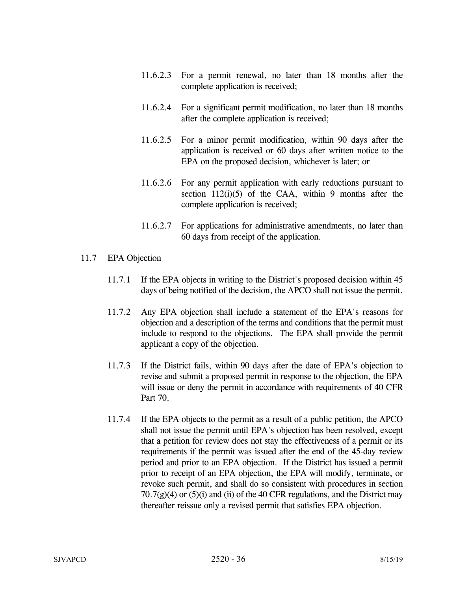- 11.6.2.3 For a permit renewal, no later than 18 months after the complete application is received;
- 11.6.2.4 For a significant permit modification, no later than 18 months after the complete application is received;
- 11.6.2.5 For a minor permit modification, within 90 days after the application is received or 60 days after written notice to the EPA on the proposed decision, whichever is later; or
- 11.6.2.6 For any permit application with early reductions pursuant to section  $112(i)(5)$  of the CAA, within 9 months after the complete application is received;
- 11.6.2.7 For applications for administrative amendments, no later than 60 days from receipt of the application.

## 11.7 EPA Objection

- 11.7.1 If the EPA objects in writing to the District's proposed decision within 45 days of being notified of the decision, the APCO shall not issue the permit.
- 11.7.2 Any EPA objection shall include a statement of the EPA's reasons for objection and a description of the terms and conditions that the permit must include to respond to the objections. The EPA shall provide the permit applicant a copy of the objection.
- 11.7.3 If the District fails, within 90 days after the date of EPA's objection to revise and submit a proposed permit in response to the objection, the EPA will issue or deny the permit in accordance with requirements of 40 CFR Part 70.
- 11.7.4 If the EPA objects to the permit as a result of a public petition, the APCO shall not issue the permit until EPA's objection has been resolved, except that a petition for review does not stay the effectiveness of a permit or its requirements if the permit was issued after the end of the 45-day review period and prior to an EPA objection. If the District has issued a permit prior to receipt of an EPA objection, the EPA will modify, terminate, or revoke such permit, and shall do so consistent with procedures in section  $70.7(g)(4)$  or  $(5)(i)$  and (ii) of the 40 CFR regulations, and the District may thereafter reissue only a revised permit that satisfies EPA objection.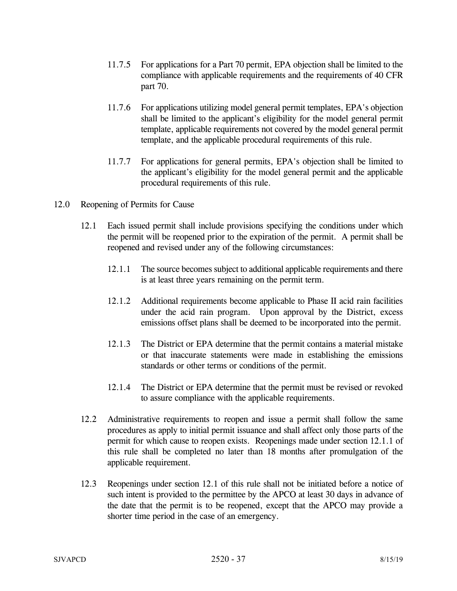- 11.7.5 For applications for a Part 70 permit, EPA objection shall be limited to the compliance with applicable requirements and the requirements of 40 CFR part 70.
- 11.7.6 For applications utilizing model general permit templates, EPA's objection shall be limited to the applicant's eligibility for the model general permit template, applicable requirements not covered by the model general permit template, and the applicable procedural requirements of this rule.
- 11.7.7 For applications for general permits, EPA's objection shall be limited to the applicant's eligibility for the model general permit and the applicable procedural requirements of this rule.
- 12.0 Reopening of Permits for Cause
	- 12.1 Each issued permit shall include provisions specifying the conditions under which the permit will be reopened prior to the expiration of the permit. A permit shall be reopened and revised under any of the following circumstances:
		- 12.1.1 The source becomes subject to additional applicable requirements and there is at least three years remaining on the permit term.
		- 12.1.2 Additional requirements become applicable to Phase II acid rain facilities under the acid rain program. Upon approval by the District, excess emissions offset plans shall be deemed to be incorporated into the permit.
		- 12.1.3 The District or EPA determine that the permit contains a material mistake or that inaccurate statements were made in establishing the emissions standards or other terms or conditions of the permit.
		- 12.1.4 The District or EPA determine that the permit must be revised or revoked to assure compliance with the applicable requirements.
	- 12.2 Administrative requirements to reopen and issue a permit shall follow the same procedures as apply to initial permit issuance and shall affect only those parts of the permit for which cause to reopen exists. Reopenings made under section 12.1.1 of this rule shall be completed no later than 18 months after promulgation of the applicable requirement.
	- 12.3 Reopenings under section 12.1 of this rule shall not be initiated before a notice of such intent is provided to the permittee by the APCO at least 30 days in advance of the date that the permit is to be reopened, except that the APCO may provide a shorter time period in the case of an emergency.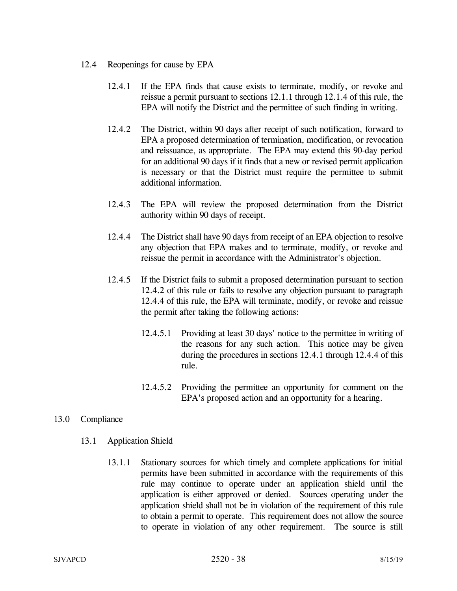- 12.4 Reopenings for cause by EPA
	- 12.4.1 If the EPA finds that cause exists to terminate, modify, or revoke and reissue a permit pursuant to sections 12.1.1 through 12.1.4 of this rule, the EPA will notify the District and the permittee of such finding in writing.
	- 12.4.2 The District, within 90 days after receipt of such notification, forward to EPA a proposed determination of termination, modification, or revocation and reissuance, as appropriate. The EPA may extend this 90-day period for an additional 90 days if it finds that a new or revised permit application is necessary or that the District must require the permittee to submit additional information.
	- 12.4.3 The EPA will review the proposed determination from the District authority within 90 days of receipt.
	- 12.4.4 The District shall have 90 days from receipt of an EPA objection to resolve any objection that EPA makes and to terminate, modify, or revoke and reissue the permit in accordance with the Administrator's objection.
	- 12.4.5 If the District fails to submit a proposed determination pursuant to section 12.4.2 of this rule or fails to resolve any objection pursuant to paragraph 12.4.4 of this rule, the EPA will terminate, modify, or revoke and reissue the permit after taking the following actions:
		- 12.4.5.1 Providing at least 30 days' notice to the permittee in writing of the reasons for any such action. This notice may be given during the procedures in sections 12.4.1 through 12.4.4 of this rule.
		- 12.4.5.2 Providing the permittee an opportunity for comment on the EPA's proposed action and an opportunity for a hearing.

### 13.0 Compliance

- 13.1 Application Shield
	- 13.1.1 Stationary sources for which timely and complete applications for initial permits have been submitted in accordance with the requirements of this rule may continue to operate under an application shield until the application is either approved or denied. Sources operating under the application shield shall not be in violation of the requirement of this rule to obtain a permit to operate. This requirement does not allow the source to operate in violation of any other requirement. The source is still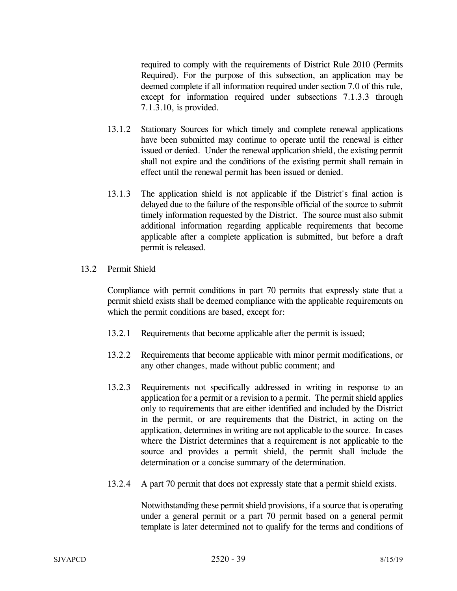required to comply with the requirements of District Rule 2010 (Permits Required). For the purpose of this subsection, an application may be deemed complete if all information required under section 7.0 of this rule, except for information required under subsections 7.1.3.3 through 7.1.3.10, is provided.

- 13.1.2 Stationary Sources for which timely and complete renewal applications have been submitted may continue to operate until the renewal is either issued or denied. Under the renewal application shield, the existing permit shall not expire and the conditions of the existing permit shall remain in effect until the renewal permit has been issued or denied.
- 13.1.3 The application shield is not applicable if the District's final action is delayed due to the failure of the responsible official of the source to submit timely information requested by the District. The source must also submit additional information regarding applicable requirements that become applicable after a complete application is submitted, but before a draft permit is released.
- 13.2 Permit Shield

 Compliance with permit conditions in part 70 permits that expressly state that a permit shield exists shall be deemed compliance with the applicable requirements on which the permit conditions are based, except for:

- 13.2.1 Requirements that become applicable after the permit is issued;
- 13.2.2 Requirements that become applicable with minor permit modifications, or any other changes, made without public comment; and
- 13.2.3 Requirements not specifically addressed in writing in response to an application for a permit or a revision to a permit. The permit shield applies only to requirements that are either identified and included by the District in the permit, or are requirements that the District, in acting on the application, determines in writing are not applicable to the source. In cases where the District determines that a requirement is not applicable to the source and provides a permit shield, the permit shall include the determination or a concise summary of the determination.
- 13.2.4 A part 70 permit that does not expressly state that a permit shield exists.

 Notwithstanding these permit shield provisions, if a source that is operating under a general permit or a part 70 permit based on a general permit template is later determined not to qualify for the terms and conditions of